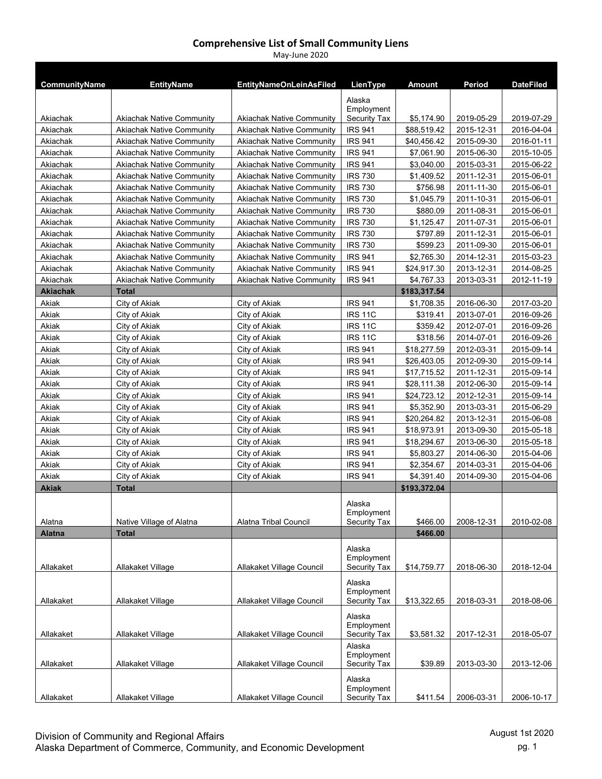| CommunityName   | <b>EntityName</b>                | <b>EntityNameOnLeinAsFiled</b>   | LienType             | Amount       | Period     | <b>DateFiled</b> |
|-----------------|----------------------------------|----------------------------------|----------------------|--------------|------------|------------------|
|                 |                                  |                                  |                      |              |            |                  |
|                 |                                  |                                  | Alaska<br>Employment |              |            |                  |
| Akiachak        | <b>Akiachak Native Community</b> | <b>Akiachak Native Community</b> | Security Tax         | \$5,174.90   | 2019-05-29 | 2019-07-29       |
| Akiachak        | <b>Akiachak Native Community</b> | <b>Akiachak Native Community</b> | <b>IRS 941</b>       | \$88,519.42  | 2015-12-31 | 2016-04-04       |
| Akiachak        | <b>Akiachak Native Community</b> | <b>Akiachak Native Community</b> | <b>IRS 941</b>       | \$40,456.42  | 2015-09-30 | 2016-01-11       |
| Akiachak        | <b>Akiachak Native Community</b> | <b>Akiachak Native Community</b> | <b>IRS 941</b>       | \$7,061.90   | 2015-06-30 | 2015-10-05       |
| Akiachak        | <b>Akiachak Native Community</b> | <b>Akiachak Native Community</b> | <b>IRS 941</b>       | \$3,040.00   | 2015-03-31 | 2015-06-22       |
| Akiachak        | Akiachak Native Community        | <b>Akiachak Native Community</b> | <b>IRS 730</b>       | \$1,409.52   | 2011-12-31 | 2015-06-01       |
| Akiachak        | <b>Akiachak Native Community</b> | <b>Akiachak Native Community</b> | <b>IRS 730</b>       | \$756.98     | 2011-11-30 | 2015-06-01       |
| Akiachak        | <b>Akiachak Native Community</b> | <b>Akiachak Native Community</b> | <b>IRS 730</b>       | \$1,045.79   | 2011-10-31 | 2015-06-01       |
| Akiachak        | <b>Akiachak Native Community</b> | <b>Akiachak Native Community</b> | <b>IRS 730</b>       | \$880.09     | 2011-08-31 | 2015-06-01       |
| Akiachak        | <b>Akiachak Native Community</b> | <b>Akiachak Native Community</b> | <b>IRS 730</b>       | \$1,125.47   | 2011-07-31 | 2015-06-01       |
| Akiachak        | <b>Akiachak Native Community</b> | <b>Akiachak Native Community</b> | <b>IRS 730</b>       | \$797.89     | 2011-12-31 | 2015-06-01       |
| Akiachak        | <b>Akiachak Native Community</b> | <b>Akiachak Native Community</b> | <b>IRS 730</b>       | \$599.23     | 2011-09-30 | 2015-06-01       |
| Akiachak        | <b>Akiachak Native Community</b> | <b>Akiachak Native Community</b> | <b>IRS 941</b>       | \$2,765.30   | 2014-12-31 | 2015-03-23       |
| Akiachak        | <b>Akiachak Native Community</b> | <b>Akiachak Native Community</b> | <b>IRS 941</b>       | \$24,917.30  | 2013-12-31 | 2014-08-25       |
| Akiachak        | <b>Akiachak Native Community</b> | <b>Akiachak Native Community</b> | <b>IRS 941</b>       | \$4,767.33   | 2013-03-31 | 2012-11-19       |
| <b>Akiachak</b> | <b>Total</b>                     |                                  |                      | \$183,317.54 |            |                  |
| Akiak           | City of Akiak                    | City of Akiak                    | <b>IRS 941</b>       | \$1,708.35   | 2016-06-30 | 2017-03-20       |
| Akiak           | City of Akiak                    | City of Akiak                    | <b>IRS 11C</b>       | \$319.41     | 2013-07-01 | 2016-09-26       |
| Akiak           | City of Akiak                    | City of Akiak                    | <b>IRS 11C</b>       | \$359.42     | 2012-07-01 | 2016-09-26       |
| Akiak           | City of Akiak                    | City of Akiak                    | <b>IRS 11C</b>       | \$318.56     | 2014-07-01 | 2016-09-26       |
| Akiak           | City of Akiak                    | City of Akiak                    | <b>IRS 941</b>       | \$18,277.59  | 2012-03-31 | 2015-09-14       |
| Akiak           | City of Akiak                    | City of Akiak                    | <b>IRS 941</b>       | \$26,403.05  | 2012-09-30 | 2015-09-14       |
| Akiak           | City of Akiak                    | City of Akiak                    | <b>IRS 941</b>       | \$17,715.52  | 2011-12-31 | 2015-09-14       |
| Akiak           | City of Akiak                    | City of Akiak                    | <b>IRS 941</b>       | \$28,111.38  | 2012-06-30 | 2015-09-14       |
| Akiak           | City of Akiak                    | City of Akiak                    | <b>IRS 941</b>       | \$24,723.12  | 2012-12-31 | 2015-09-14       |
| Akiak           | City of Akiak                    | City of Akiak                    | <b>IRS 941</b>       | \$5,352.90   | 2013-03-31 | 2015-06-29       |
| Akiak           | City of Akiak                    | City of Akiak                    | <b>IRS 941</b>       | \$20,264.82  | 2013-12-31 | 2015-06-08       |
| Akiak           | City of Akiak                    | City of Akiak                    | <b>IRS 941</b>       | \$18,973.91  | 2013-09-30 | 2015-05-18       |
| Akiak           | City of Akiak                    | City of Akiak                    | <b>IRS 941</b>       | \$18,294.67  | 2013-06-30 | 2015-05-18       |
| Akiak           | City of Akiak                    | City of Akiak                    | <b>IRS 941</b>       | \$5,803.27   | 2014-06-30 | 2015-04-06       |
| Akiak           | City of Akiak                    | City of Akiak                    | <b>IRS 941</b>       | \$2,354.67   | 2014-03-31 | 2015-04-06       |
| Akiak           | City of Akiak                    | City of Akiak                    | <b>IRS 941</b>       | \$4,391.40   | 2014-09-30 | 2015-04-06       |
| <b>Akiak</b>    | <b>Total</b>                     |                                  |                      | \$193,372.04 |            |                  |
|                 |                                  |                                  | Alaska               |              |            |                  |
|                 |                                  |                                  | Employment           |              |            |                  |
| Alatna          | Native Village of Alatna         | Alatna Tribal Council            | Security Tax         | \$466.00     | 2008-12-31 | 2010-02-08       |
| Alatna          | <b>Total</b>                     |                                  |                      | \$466.00     |            |                  |
|                 |                                  |                                  | Alaska               |              |            |                  |
|                 |                                  |                                  | Employment           |              |            |                  |
| Allakaket       | Allakaket Village                | Allakaket Village Council        | Security Tax         | \$14,759.77  | 2018-06-30 | 2018-12-04       |
|                 |                                  |                                  | Alaska               |              |            |                  |
|                 |                                  |                                  | Employment           |              |            |                  |
| Allakaket       | Allakaket Village                | Allakaket Village Council        | Security Tax         | \$13,322.65  | 2018-03-31 | 2018-08-06       |
|                 |                                  |                                  | Alaska               |              |            |                  |
|                 |                                  |                                  | Employment           |              |            |                  |
| Allakaket       | Allakaket Village                | Allakaket Village Council        | Security Tax         | \$3,581.32   | 2017-12-31 | 2018-05-07       |
|                 |                                  |                                  | Alaska<br>Employment |              |            |                  |
| Allakaket       | Allakaket Village                | Allakaket Village Council        | Security Tax         | \$39.89      | 2013-03-30 | 2013-12-06       |
|                 |                                  |                                  |                      |              |            |                  |
|                 |                                  |                                  | Alaska<br>Employment |              |            |                  |
| Allakaket       | Allakaket Village                | Allakaket Village Council        | Security Tax         | \$411.54     | 2006-03-31 | 2006-10-17       |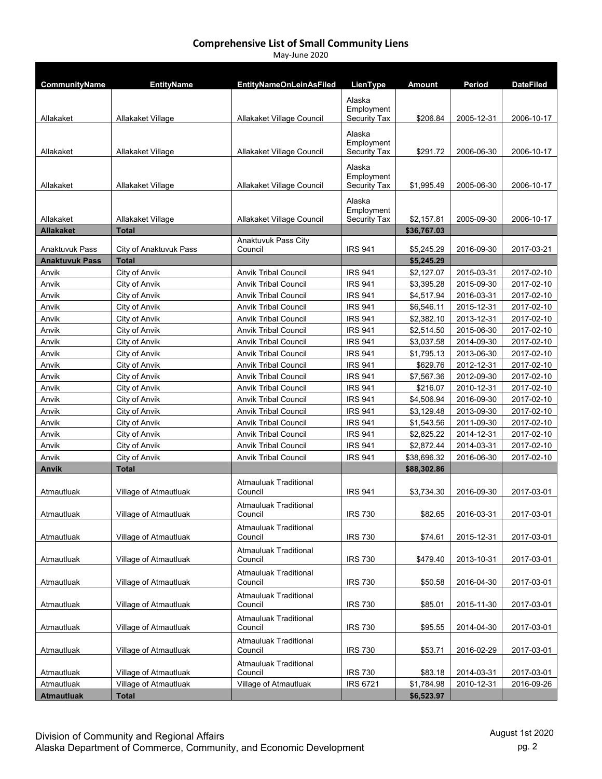| CommunityName         | <b>EntityName</b>              | <b>EntityNameOnLeinAsFiled</b>                             | LienType                                    | Amount                 | Period                   | <b>DateFiled</b>         |
|-----------------------|--------------------------------|------------------------------------------------------------|---------------------------------------------|------------------------|--------------------------|--------------------------|
| Allakaket             | Allakaket Village              | Allakaket Village Council                                  | Alaska<br>Employment<br><b>Security Tax</b> | \$206.84               | 2005-12-31               | 2006-10-17               |
|                       |                                |                                                            | Alaska<br>Employment                        |                        |                          |                          |
| Allakaket             | Allakaket Village              | Allakaket Village Council                                  | Security Tax                                | \$291.72               | 2006-06-30               | 2006-10-17               |
| Allakaket             | Allakaket Village              | Allakaket Village Council                                  | Alaska<br>Employment<br>Security Tax        | \$1,995.49             | 2005-06-30               | 2006-10-17               |
| Allakaket             | Allakaket Village              | Allakaket Village Council                                  | Alaska<br>Employment<br>Security Tax        | \$2,157.81             | 2005-09-30               | 2006-10-17               |
| <b>Allakaket</b>      | <b>Total</b>                   | Anaktuvuk Pass City                                        |                                             | \$36,767.03            |                          |                          |
| Anaktuvuk Pass        | City of Anaktuvuk Pass         | Council                                                    | <b>IRS 941</b>                              | \$5,245.29             | 2016-09-30               | 2017-03-21               |
| <b>Anaktuvuk Pass</b> | <b>Total</b>                   |                                                            |                                             | \$5,245.29             |                          |                          |
| Anvik                 | City of Anvik                  | <b>Anvik Tribal Council</b>                                | <b>IRS 941</b>                              | \$2,127.07             | 2015-03-31               | 2017-02-10               |
| Anvik                 | City of Anvik                  | <b>Anvik Tribal Council</b>                                | <b>IRS 941</b>                              | \$3,395.28             | 2015-09-30               | 2017-02-10               |
| Anvik                 | City of Anvik                  | <b>Anvik Tribal Council</b>                                | <b>IRS 941</b>                              | \$4,517.94             | 2016-03-31               | 2017-02-10               |
| Anvik                 | City of Anvik                  | <b>Anvik Tribal Council</b>                                | <b>IRS 941</b>                              | \$6,546.11             | 2015-12-31               | 2017-02-10               |
| Anvik                 | City of Anvik                  | <b>Anvik Tribal Council</b>                                | <b>IRS 941</b>                              | \$2,382.10             | 2013-12-31               | 2017-02-10               |
| Anvik                 | City of Anvik                  | <b>Anvik Tribal Council</b>                                | <b>IRS 941</b>                              | \$2,514.50             | 2015-06-30               | 2017-02-10               |
| Anvik                 | City of Anvik                  | <b>Anvik Tribal Council</b>                                | <b>IRS 941</b>                              | \$3,037.58             | 2014-09-30               | 2017-02-10               |
| Anvik                 | City of Anvik                  | <b>Anvik Tribal Council</b>                                | <b>IRS 941</b>                              | \$1,795.13             | 2013-06-30               | 2017-02-10               |
| Anvik                 | City of Anvik                  | <b>Anvik Tribal Council</b>                                | <b>IRS 941</b>                              | \$629.76               | 2012-12-31               | 2017-02-10               |
| Anvik                 | City of Anvik                  | <b>Anvik Tribal Council</b>                                | <b>IRS 941</b>                              | \$7,567.36             | 2012-09-30               | 2017-02-10               |
| Anvik<br>Anvik        | City of Anvik<br>City of Anvik | <b>Anvik Tribal Council</b><br><b>Anvik Tribal Council</b> | <b>IRS 941</b><br><b>IRS 941</b>            | \$216.07<br>\$4,506.94 | 2010-12-31<br>2016-09-30 | 2017-02-10<br>2017-02-10 |
| Anvik                 | City of Anvik                  | <b>Anvik Tribal Council</b>                                | <b>IRS 941</b>                              | \$3,129.48             | 2013-09-30               | 2017-02-10               |
| Anvik                 | City of Anvik                  | <b>Anvik Tribal Council</b>                                | <b>IRS 941</b>                              | \$1,543.56             | 2011-09-30               | 2017-02-10               |
| Anvik                 | City of Anvik                  | <b>Anvik Tribal Council</b>                                | <b>IRS 941</b>                              | \$2,825.22             | 2014-12-31               | 2017-02-10               |
| Anvik                 | City of Anvik                  | <b>Anvik Tribal Council</b>                                | <b>IRS 941</b>                              | \$2,872.44             | 2014-03-31               | 2017-02-10               |
| Anvik                 | City of Anvik                  | <b>Anvik Tribal Council</b>                                | <b>IRS 941</b>                              | \$38,696.32            | 2016-06-30               | 2017-02-10               |
| Anvik                 | <b>Total</b>                   |                                                            |                                             | \$88,302.86            |                          |                          |
| Atmautluak            | Village of Atmautluak          | <b>Atmauluak Traditional</b><br>Council                    | <b>IRS 941</b>                              | \$3,734.30             | 2016-09-30               | 2017-03-01               |
| Atmautluak            | Village of Atmautluak          | <b>Atmauluak Traditional</b><br>Council                    | <b>IRS 730</b>                              | \$82.65                | 2016-03-31               | 2017-03-01               |
| Atmautluak            | Village of Atmautluak          | <b>Atmauluak Traditional</b><br>Council                    | <b>IRS 730</b>                              | \$74.61                | 2015-12-31               | 2017-03-01               |
| Atmautluak            | Village of Atmautluak          | <b>Atmauluak Traditional</b><br>Council                    | <b>IRS 730</b>                              | \$479.40               | 2013-10-31               | 2017-03-01               |
| Atmautluak            | Village of Atmautluak          | <b>Atmauluak Traditional</b><br>Council                    | <b>IRS 730</b>                              | \$50.58                | 2016-04-30               | 2017-03-01               |
| Atmautluak            | Village of Atmautluak          | <b>Atmauluak Traditional</b><br>Council                    | <b>IRS 730</b>                              | \$85.01                | 2015-11-30               | 2017-03-01               |
| Atmautluak            | Village of Atmautluak          | <b>Atmauluak Traditional</b><br>Council                    | <b>IRS 730</b>                              | \$95.55                | 2014-04-30               | 2017-03-01               |
| Atmautluak            | Village of Atmautluak          | <b>Atmauluak Traditional</b><br>Council                    | <b>IRS 730</b>                              | \$53.71                | 2016-02-29               | 2017-03-01               |
| Atmautluak            | Village of Atmautluak          | <b>Atmauluak Traditional</b><br>Council                    | <b>IRS 730</b>                              | \$83.18                | 2014-03-31               | 2017-03-01               |
| Atmautluak            | Village of Atmautluak          | Village of Atmautluak                                      | <b>IRS 6721</b>                             | \$1,784.98             | 2010-12-31               | 2016-09-26               |
| <b>Atmautluak</b>     | <b>Total</b>                   |                                                            |                                             | \$6,523.97             |                          |                          |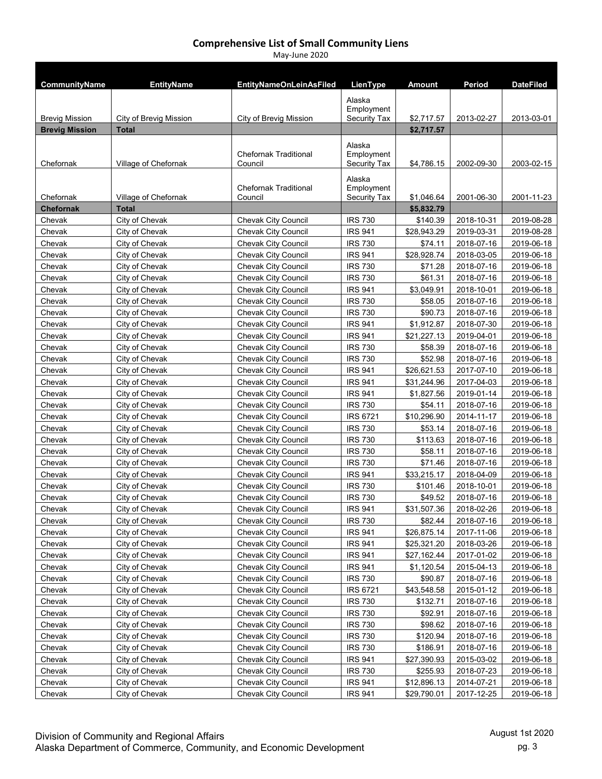| CommunityName         | <b>EntityName</b>      | <b>EntityNameOnLeinAsFiled</b>          | LienType                             | Amount      | Period     | <b>DateFiled</b> |
|-----------------------|------------------------|-----------------------------------------|--------------------------------------|-------------|------------|------------------|
| <b>Brevig Mission</b> | City of Brevig Mission | City of Brevig Mission                  | Alaska<br>Employment<br>Security Tax | \$2,717.57  | 2013-02-27 | 2013-03-01       |
| <b>Brevig Mission</b> | <b>Total</b>           |                                         |                                      | \$2,717.57  |            |                  |
|                       |                        | <b>Chefornak Traditional</b>            | Alaska<br>Employment                 |             |            |                  |
| Chefornak             | Village of Chefornak   | Council                                 | Security Tax                         | \$4,786.15  | 2002-09-30 | 2003-02-15       |
| Chefornak             | Village of Chefornak   | <b>Chefornak Traditional</b><br>Council | Alaska<br>Employment<br>Security Tax | \$1,046.64  | 2001-06-30 | 2001-11-23       |
| <b>Chefornak</b>      | <b>Total</b>           |                                         |                                      | \$5,832.79  |            |                  |
| Chevak                | City of Chevak         | <b>Chevak City Council</b>              | <b>IRS 730</b>                       | \$140.39    | 2018-10-31 | 2019-08-28       |
| Chevak                | City of Chevak         | <b>Chevak City Council</b>              | <b>IRS 941</b>                       | \$28,943.29 | 2019-03-31 | 2019-08-28       |
| Chevak                | City of Chevak         | <b>Chevak City Council</b>              | <b>IRS 730</b>                       | \$74.11     | 2018-07-16 | 2019-06-18       |
| Chevak                | City of Chevak         | <b>Chevak City Council</b>              | <b>IRS 941</b>                       | \$28,928.74 | 2018-03-05 | 2019-06-18       |
| Chevak                | City of Chevak         | <b>Chevak City Council</b>              | <b>IRS 730</b>                       | \$71.28     | 2018-07-16 | 2019-06-18       |
| Chevak                | City of Chevak         | <b>Chevak City Council</b>              | <b>IRS 730</b>                       | \$61.31     | 2018-07-16 | 2019-06-18       |
| Chevak                | City of Chevak         | <b>Chevak City Council</b>              | <b>IRS 941</b>                       | \$3,049.91  | 2018-10-01 | 2019-06-18       |
| Chevak                | City of Chevak         | <b>Chevak City Council</b>              | <b>IRS 730</b>                       | \$58.05     | 2018-07-16 | 2019-06-18       |
| Chevak                | City of Chevak         | <b>Chevak City Council</b>              | <b>IRS 730</b>                       | \$90.73     | 2018-07-16 | 2019-06-18       |
| Chevak                | City of Chevak         | <b>Chevak City Council</b>              | <b>IRS 941</b>                       | \$1,912.87  | 2018-07-30 | 2019-06-18       |
| Chevak                | City of Chevak         | <b>Chevak City Council</b>              | <b>IRS 941</b>                       | \$21,227.13 | 2019-04-01 | 2019-06-18       |
| Chevak                | City of Chevak         | Chevak City Council                     | <b>IRS 730</b>                       | \$58.39     | 2018-07-16 | 2019-06-18       |
| Chevak                | City of Chevak         | Chevak City Council                     | <b>IRS 730</b>                       | \$52.98     | 2018-07-16 | 2019-06-18       |
| Chevak                | City of Chevak         | <b>Chevak City Council</b>              | <b>IRS 941</b>                       | \$26,621.53 | 2017-07-10 | 2019-06-18       |
| Chevak                | City of Chevak         | <b>Chevak City Council</b>              | <b>IRS 941</b>                       | \$31,244.96 | 2017-04-03 | 2019-06-18       |
| Chevak                | City of Chevak         | <b>Chevak City Council</b>              | <b>IRS 941</b>                       | \$1,827.56  | 2019-01-14 | 2019-06-18       |
| Chevak                | City of Chevak         | <b>Chevak City Council</b>              | <b>IRS 730</b>                       | \$54.11     | 2018-07-16 | 2019-06-18       |
| Chevak                | City of Chevak         | Chevak City Council                     | <b>IRS 6721</b>                      | \$10,296.90 | 2014-11-17 | 2019-06-18       |
| Chevak                | City of Chevak         | Chevak City Council                     | <b>IRS 730</b>                       | \$53.14     | 2018-07-16 | 2019-06-18       |
| Chevak                | City of Chevak         | <b>Chevak City Council</b>              | <b>IRS 730</b>                       | \$113.63    | 2018-07-16 | 2019-06-18       |
| Chevak                | City of Chevak         | <b>Chevak City Council</b>              | <b>IRS 730</b>                       | \$58.11     | 2018-07-16 | 2019-06-18       |
| Chevak                | City of Chevak         | <b>Chevak City Council</b>              | <b>IRS 730</b>                       | \$71.46     | 2018-07-16 | 2019-06-18       |
| Chevak                | City of Chevak         | <b>Chevak City Council</b>              | <b>IRS 941</b>                       | \$33,215.17 | 2018-04-09 | 2019-06-18       |
| Chevak                | City of Chevak         | <b>Chevak City Council</b>              | <b>IRS 730</b>                       | \$101.46    | 2018-10-01 | 2019-06-18       |
| Chevak                | City of Chevak         | <b>Chevak City Council</b>              | <b>IRS 730</b>                       | \$49.52     | 2018-07-16 | 2019-06-18       |
| Chevak                | City of Chevak         | Chevak City Council                     | IRS 941                              | \$31,507.36 | 2018-02-26 | 2019-06-18       |
| Chevak                | City of Chevak         | <b>Chevak City Council</b>              | <b>IRS 730</b>                       | \$82.44     | 2018-07-16 | 2019-06-18       |
| Chevak                | City of Chevak         | <b>Chevak City Council</b>              | <b>IRS 941</b>                       | \$26,875.14 | 2017-11-06 | 2019-06-18       |
| Chevak                | City of Chevak         | <b>Chevak City Council</b>              | <b>IRS 941</b>                       | \$25,321.20 | 2018-03-26 | 2019-06-18       |
| Chevak                | City of Chevak         | <b>Chevak City Council</b>              | <b>IRS 941</b>                       | \$27,162.44 | 2017-01-02 | 2019-06-18       |
| Chevak                | City of Chevak         | <b>Chevak City Council</b>              | <b>IRS 941</b>                       | \$1,120.54  | 2015-04-13 | 2019-06-18       |
| Chevak                | City of Chevak         | <b>Chevak City Council</b>              | <b>IRS 730</b>                       | \$90.87     | 2018-07-16 | 2019-06-18       |
| Chevak                | City of Chevak         | <b>Chevak City Council</b>              | <b>IRS 6721</b>                      | \$43,548.58 | 2015-01-12 | 2019-06-18       |
| Chevak                | City of Chevak         | Chevak City Council                     | <b>IRS 730</b>                       | \$132.71    | 2018-07-16 | 2019-06-18       |
| Chevak                | City of Chevak         | Chevak City Council                     | <b>IRS 730</b>                       | \$92.91     | 2018-07-16 | 2019-06-18       |
| Chevak                | City of Chevak         | Chevak City Council                     | <b>IRS 730</b>                       | \$98.62     | 2018-07-16 | 2019-06-18       |
| Chevak                | City of Chevak         | Chevak City Council                     | <b>IRS 730</b>                       | \$120.94    | 2018-07-16 | 2019-06-18       |
| Chevak                | City of Chevak         | <b>Chevak City Council</b>              | <b>IRS 730</b>                       | \$186.91    | 2018-07-16 | 2019-06-18       |
| Chevak                | City of Chevak         | <b>Chevak City Council</b>              | <b>IRS 941</b>                       | \$27,390.93 | 2015-03-02 | 2019-06-18       |
| Chevak                | City of Chevak         | <b>Chevak City Council</b>              | <b>IRS 730</b>                       | \$255.93    | 2018-07-23 | 2019-06-18       |
| Chevak                | City of Chevak         | Chevak City Council                     | <b>IRS 941</b>                       | \$12,896.13 | 2014-07-21 | 2019-06-18       |
| Chevak                | City of Chevak         | <b>Chevak City Council</b>              | <b>IRS 941</b>                       | \$29,790.01 | 2017-12-25 | 2019-06-18       |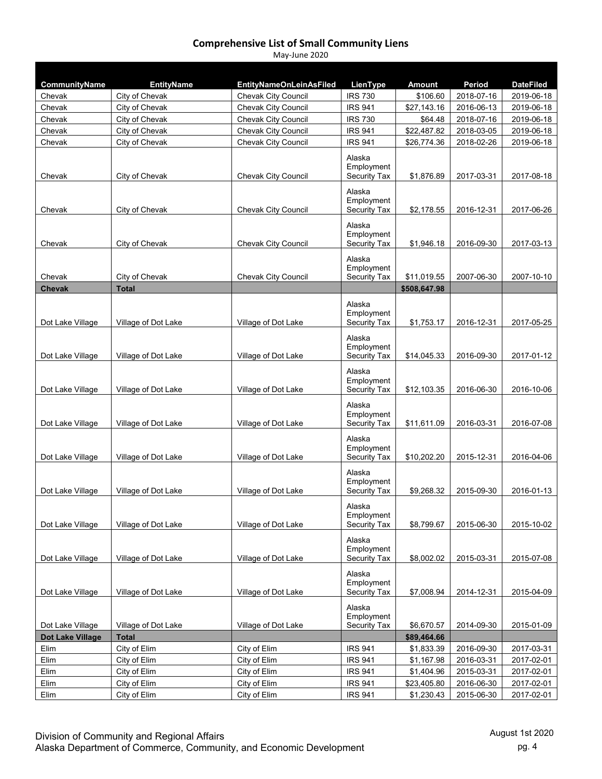| CommunityName    | <b>EntityName</b>   | <b>EntityNameOnLeinAsFiled</b> | LienType                          | <b>Amount</b> | <b>Period</b> | <b>DateFiled</b> |
|------------------|---------------------|--------------------------------|-----------------------------------|---------------|---------------|------------------|
| Chevak           | City of Chevak      | Chevak City Council            | <b>IRS 730</b>                    | \$106.60      | 2018-07-16    | 2019-06-18       |
| Chevak           | City of Chevak      | Chevak City Council            | <b>IRS 941</b>                    | \$27,143.16   | 2016-06-13    | 2019-06-18       |
| Chevak           | City of Chevak      | <b>Chevak City Council</b>     | <b>IRS 730</b>                    | \$64.48       | 2018-07-16    | 2019-06-18       |
| Chevak           | City of Chevak      | <b>Chevak City Council</b>     | <b>IRS 941</b>                    | \$22,487.82   | 2018-03-05    | 2019-06-18       |
| Chevak           | City of Chevak      | Chevak City Council            | <b>IRS 941</b>                    | \$26,774.36   | 2018-02-26    | 2019-06-18       |
|                  |                     |                                | Alaska                            |               |               |                  |
| Chevak           | City of Chevak      | <b>Chevak City Council</b>     | Employment<br><b>Security Tax</b> |               |               |                  |
|                  |                     |                                |                                   | \$1,876.89    | 2017-03-31    | 2017-08-18       |
|                  |                     |                                | Alaska                            |               |               |                  |
| Chevak           | City of Chevak      | <b>Chevak City Council</b>     | Employment<br>Security Tax        | \$2,178.55    | 2016-12-31    | 2017-06-26       |
|                  |                     |                                |                                   |               |               |                  |
|                  |                     |                                | Alaska<br>Employment              |               |               |                  |
| Chevak           | City of Chevak      | <b>Chevak City Council</b>     | Security Tax                      | \$1,946.18    | 2016-09-30    | 2017-03-13       |
|                  |                     |                                | Alaska                            |               |               |                  |
|                  |                     |                                | Employment                        |               |               |                  |
| Chevak           | City of Chevak      | <b>Chevak City Council</b>     | Security Tax                      | \$11,019.55   | 2007-06-30    | 2007-10-10       |
| <b>Chevak</b>    | <b>Total</b>        |                                |                                   | \$508,647.98  |               |                  |
|                  |                     |                                | Alaska                            |               |               |                  |
|                  |                     |                                | Employment                        |               |               |                  |
| Dot Lake Village | Village of Dot Lake | Village of Dot Lake            | Security Tax                      | \$1,753.17    | 2016-12-31    | 2017-05-25       |
|                  |                     |                                | Alaska                            |               |               |                  |
|                  |                     |                                | Employment                        |               |               |                  |
| Dot Lake Village | Village of Dot Lake | Village of Dot Lake            | Security Tax                      | \$14,045.33   | 2016-09-30    | 2017-01-12       |
|                  |                     |                                | Alaska                            |               |               |                  |
| Dot Lake Village | Village of Dot Lake | Village of Dot Lake            | Employment<br>Security Tax        | \$12,103.35   | 2016-06-30    | 2016-10-06       |
|                  |                     |                                |                                   |               |               |                  |
|                  |                     |                                | Alaska                            |               |               |                  |
| Dot Lake Village | Village of Dot Lake | Village of Dot Lake            | Employment<br>Security Tax        | \$11,611.09   | 2016-03-31    | 2016-07-08       |
|                  |                     |                                |                                   |               |               |                  |
|                  |                     |                                | Alaska<br>Employment              |               |               |                  |
| Dot Lake Village | Village of Dot Lake | Village of Dot Lake            | Security Tax                      | \$10,202.20   | 2015-12-31    | 2016-04-06       |
|                  |                     |                                | Alaska                            |               |               |                  |
|                  |                     |                                | Employment                        |               |               |                  |
| Dot Lake Village | Village of Dot Lake | Village of Dot Lake            | Security Tax                      | \$9,268.32    | 2015-09-30    | 2016-01-13       |
|                  |                     |                                | Alaska                            |               |               |                  |
|                  |                     |                                | Employment                        |               |               |                  |
| Dot Lake Village | Village of Dot Lake | Village of Dot Lake            | Security Tax                      | \$8,799.67    | 2015-06-30    | 2015-10-02       |
|                  |                     |                                | Alaska                            |               |               |                  |
|                  |                     |                                | Employment                        |               |               |                  |
| Dot Lake Village | Village of Dot Lake | Village of Dot Lake            | Security Tax                      | \$8,002.02    | 2015-03-31    | 2015-07-08       |
|                  |                     |                                | Alaska                            |               |               |                  |
| Dot Lake Village | Village of Dot Lake | Village of Dot Lake            | Employment<br>Security Tax        | \$7,008.94    | 2014-12-31    | 2015-04-09       |
|                  |                     |                                |                                   |               |               |                  |
|                  |                     |                                | Alaska<br>Employment              |               |               |                  |
| Dot Lake Village | Village of Dot Lake | Village of Dot Lake            | Security Tax                      | \$6,670.57    | 2014-09-30    | 2015-01-09       |
| Dot Lake Village | <b>Total</b>        |                                |                                   | \$89,464.66   |               |                  |
| Elim             | City of Elim        | City of Elim                   | <b>IRS 941</b>                    | \$1,833.39    | 2016-09-30    | 2017-03-31       |
| Elim             | City of Elim        | City of Elim                   | <b>IRS 941</b>                    | \$1,167.98    | 2016-03-31    | 2017-02-01       |
| Elim             | City of Elim        | City of Elim                   | <b>IRS 941</b>                    | \$1,404.96    | 2015-03-31    | 2017-02-01       |
| Elim             | City of Elim        | City of Elim                   | <b>IRS 941</b>                    | \$23,405.80   | 2016-06-30    | 2017-02-01       |
| Elim             | City of Elim        | City of Elim                   | <b>IRS 941</b>                    | \$1,230.43    | 2015-06-30    | 2017-02-01       |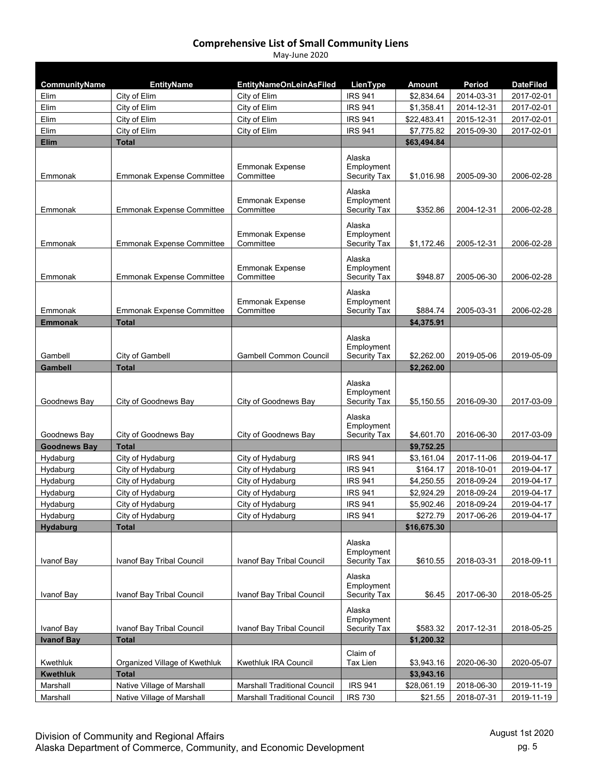| CommunityName       | <b>EntityName</b>                | <b>EntityNameOnLeinAsFiled</b>      | LienType                   | <b>Amount</b> | Period                   | <b>DateFiled</b> |
|---------------------|----------------------------------|-------------------------------------|----------------------------|---------------|--------------------------|------------------|
| Elim                | City of Elim                     | City of Elim                        | <b>IRS 941</b>             | \$2,834.64    | 2014-03-31               | 2017-02-01       |
| Elim                | City of Elim                     | City of Elim                        | <b>IRS 941</b>             | \$1,358.41    | 2014-12-31               | 2017-02-01       |
| Elim                | City of Elim                     | City of Elim                        | <b>IRS 941</b>             | \$22,483.41   | 2015-12-31               | 2017-02-01       |
| Elim                | City of Elim                     | City of Elim                        | <b>IRS 941</b>             | \$7,775.82    | 2015-09-30               | 2017-02-01       |
| <b>Elim</b>         | <b>Total</b>                     |                                     |                            | \$63,494.84   |                          |                  |
|                     |                                  |                                     | Alaska                     |               |                          |                  |
|                     |                                  | <b>Emmonak Expense</b>              | Employment                 |               |                          |                  |
| Emmonak             | <b>Emmonak Expense Committee</b> | Committee                           | Security Tax               | \$1,016.98    | 2005-09-30               | 2006-02-28       |
|                     |                                  |                                     | Alaska                     |               |                          |                  |
| Emmonak             | <b>Emmonak Expense Committee</b> | Emmonak Expense<br>Committee        | Employment<br>Security Tax | \$352.86      | 2004-12-31               | 2006-02-28       |
|                     |                                  |                                     |                            |               |                          |                  |
|                     |                                  |                                     | Alaska<br>Employment       |               |                          |                  |
| Emmonak             | <b>Emmonak Expense Committee</b> | <b>Emmonak Expense</b><br>Committee | Security Tax               | \$1,172.46    | 2005-12-31               | 2006-02-28       |
|                     |                                  |                                     |                            |               |                          |                  |
|                     |                                  | <b>Emmonak Expense</b>              | Alaska<br>Employment       |               |                          |                  |
| Emmonak             | <b>Emmonak Expense Committee</b> | Committee                           | Security Tax               | \$948.87      | 2005-06-30               | 2006-02-28       |
|                     |                                  |                                     | Alaska                     |               |                          |                  |
|                     |                                  | <b>Emmonak Expense</b>              | Employment                 |               |                          |                  |
| Emmonak             | Emmonak Expense Committee        | Committee                           | Security Tax               | \$884.74      | 2005-03-31               | 2006-02-28       |
| <b>Emmonak</b>      | <b>Total</b>                     |                                     |                            | \$4,375.91    |                          |                  |
|                     |                                  |                                     | Alaska                     |               |                          |                  |
|                     |                                  |                                     | Employment                 |               |                          |                  |
| Gambell             | City of Gambell                  | <b>Gambell Common Council</b>       | Security Tax               | \$2,262.00    | 2019-05-06               | 2019-05-09       |
| <b>Gambell</b>      | Total                            |                                     |                            | \$2,262.00    |                          |                  |
|                     |                                  |                                     | Alaska                     |               |                          |                  |
|                     |                                  |                                     | Employment                 |               |                          |                  |
| Goodnews Bay        | City of Goodnews Bay             | City of Goodnews Bay                | <b>Security Tax</b>        | \$5,150.55    | 2016-09-30               | 2017-03-09       |
|                     |                                  |                                     | Alaska                     |               |                          |                  |
| Goodnews Bay        | City of Goodnews Bay             | City of Goodnews Bay                | Employment<br>Security Tax | \$4,601.70    | 2016-06-30               | 2017-03-09       |
| <b>Goodnews Bay</b> | <b>Total</b>                     |                                     |                            | \$9,752.25    |                          |                  |
| Hydaburg            | City of Hydaburg                 | City of Hydaburg                    | <b>IRS 941</b>             | \$3,161.04    | 2017-11-06               | 2019-04-17       |
| Hydaburg            | City of Hydaburg                 | City of Hydaburg                    | <b>IRS 941</b>             | \$164.17      | 2018-10-01               | 2019-04-17       |
| Hydaburg            | City of Hydaburg                 | City of Hydaburg                    | <b>IRS 941</b>             | \$4,250.55    | 2018-09-24               | 2019-04-17       |
| Hydaburg            | City of Hydaburg                 | City of Hydaburg                    | <b>IRS 941</b>             | \$2,924.29    | 2018-09-24               | 2019-04-17       |
| Hydaburg            | City of Hydaburg                 | City of Hydaburg                    | <b>IRS 941</b>             | \$5,902.46    | 2018-09-24               | 2019-04-17       |
| Hydaburg            | City of Hydaburg                 | City of Hydaburg                    | <b>IRS 941</b>             | \$272.79      | 2017-06-26               | 2019-04-17       |
| <b>Hydaburg</b>     | <b>Total</b>                     |                                     |                            | \$16,675.30   |                          |                  |
|                     |                                  |                                     | Alaska                     |               |                          |                  |
|                     |                                  |                                     | Employment                 |               |                          |                  |
| Ivanof Bay          | Ivanof Bay Tribal Council        | Ivanof Bay Tribal Council           | Security Tax               | \$610.55      | 2018-03-31               | 2018-09-11       |
|                     |                                  |                                     | Alaska                     |               |                          |                  |
|                     |                                  |                                     | Employment                 |               |                          |                  |
| Ivanof Bay          | Ivanof Bay Tribal Council        | Ivanof Bay Tribal Council           | Security Tax               | \$6.45        | 2017-06-30               | 2018-05-25       |
|                     |                                  |                                     | Alaska                     |               |                          |                  |
|                     |                                  |                                     | Employment                 |               |                          |                  |
| Ivanof Bay          | Ivanof Bay Tribal Council        | Ivanof Bay Tribal Council           | Security Tax               | \$583.32      | 2017-12-31               | 2018-05-25       |
| <b>Ivanof Bay</b>   | <b>Total</b>                     |                                     |                            | \$1,200.32    |                          |                  |
|                     |                                  |                                     | Claim of                   |               |                          |                  |
| Kwethluk            | Organized Village of Kwethluk    | Kwethluk IRA Council                | Tax Lien                   | \$3,943.16    | 2020-06-30               | 2020-05-07       |
| <b>Kwethluk</b>     | <b>Total</b>                     |                                     |                            | \$3,943.16    |                          |                  |
| Marshall            | Native Village of Marshall       | <b>Marshall Traditional Council</b> | IRS 941                    | \$28,061.19   | 2018-06-30<br>2018-07-31 | 2019-11-19       |
| Marshall            | Native Village of Marshall       | <b>Marshall Traditional Council</b> | <b>IRS 730</b>             | \$21.55       |                          | 2019-11-19       |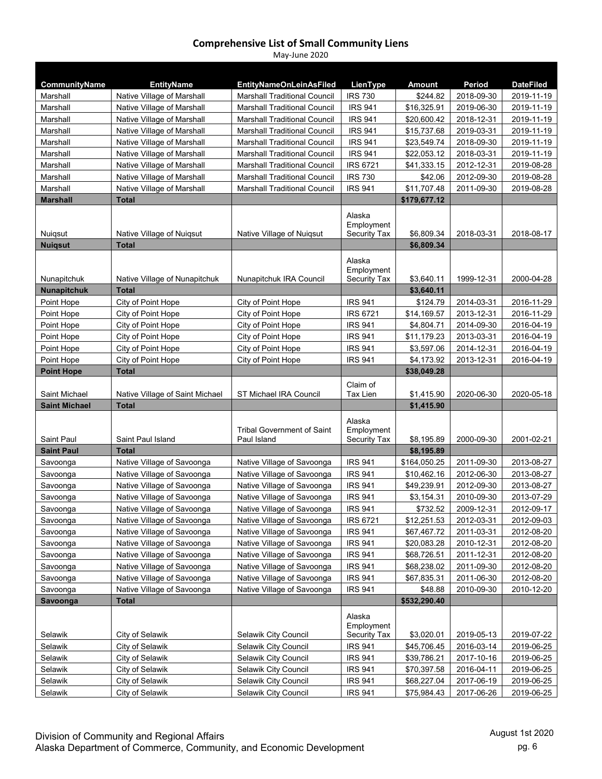| CommunityName        | <b>EntityName</b>               | <b>EntityNameOnLeinAsFiled</b>            | LienType                                    | Amount       | Period     | <b>DateFiled</b> |
|----------------------|---------------------------------|-------------------------------------------|---------------------------------------------|--------------|------------|------------------|
| Marshall             | Native Village of Marshall      | <b>Marshall Traditional Council</b>       | <b>IRS 730</b>                              | \$244.82     | 2018-09-30 | 2019-11-19       |
| Marshall             | Native Village of Marshall      | <b>Marshall Traditional Council</b>       | <b>IRS 941</b>                              | \$16,325.91  | 2019-06-30 | 2019-11-19       |
| Marshall             | Native Village of Marshall      | <b>Marshall Traditional Council</b>       | <b>IRS 941</b>                              | \$20,600.42  | 2018-12-31 | 2019-11-19       |
| Marshall             | Native Village of Marshall      | <b>Marshall Traditional Council</b>       | <b>IRS 941</b>                              | \$15,737.68  | 2019-03-31 | 2019-11-19       |
| Marshall             | Native Village of Marshall      | <b>Marshall Traditional Council</b>       | <b>IRS 941</b>                              | \$23,549.74  | 2018-09-30 | 2019-11-19       |
| Marshall             | Native Village of Marshall      | <b>Marshall Traditional Council</b>       | <b>IRS 941</b>                              | \$22,053.12  | 2018-03-31 | 2019-11-19       |
| Marshall             | Native Village of Marshall      | <b>Marshall Traditional Council</b>       | <b>IRS 6721</b>                             | \$41,333.15  | 2012-12-31 | 2019-08-28       |
| Marshall             | Native Village of Marshall      | <b>Marshall Traditional Council</b>       | <b>IRS 730</b>                              | \$42.06      | 2012-09-30 | 2019-08-28       |
| Marshall             | Native Village of Marshall      | <b>Marshall Traditional Council</b>       | <b>IRS 941</b>                              | \$11,707.48  | 2011-09-30 | 2019-08-28       |
| <b>Marshall</b>      | <b>Total</b>                    |                                           |                                             | \$179,677.12 |            |                  |
| Nuiqsut              | Native Village of Nuiqsut       | Native Village of Nuiqsut                 | Alaska<br>Employment<br><b>Security Tax</b> | \$6,809.34   | 2018-03-31 | 2018-08-17       |
| <b>Nuigsut</b>       | <b>Total</b>                    |                                           |                                             | \$6,809.34   |            |                  |
| Nunapitchuk          | Native Village of Nunapitchuk   | Nunapitchuk IRA Council                   | Alaska<br>Employment<br><b>Security Tax</b> | \$3.640.11   | 1999-12-31 | 2000-04-28       |
| <b>Nunapitchuk</b>   | <b>Total</b>                    |                                           |                                             | \$3,640.11   |            |                  |
| Point Hope           | City of Point Hope              | City of Point Hope                        | <b>IRS 941</b>                              | \$124.79     | 2014-03-31 | 2016-11-29       |
| Point Hope           | City of Point Hope              | City of Point Hope                        | <b>IRS 6721</b>                             | \$14,169.57  | 2013-12-31 | 2016-11-29       |
| Point Hope           | City of Point Hope              | City of Point Hope                        | <b>IRS 941</b>                              | \$4,804.71   | 2014-09-30 | 2016-04-19       |
| Point Hope           | City of Point Hope              | City of Point Hope                        | <b>IRS 941</b>                              | \$11,179.23  | 2013-03-31 | 2016-04-19       |
| Point Hope           | City of Point Hope              | City of Point Hope                        | <b>IRS 941</b>                              | \$3,597.06   | 2014-12-31 | 2016-04-19       |
| Point Hope           | City of Point Hope              | City of Point Hope                        | <b>IRS 941</b>                              | \$4,173.92   | 2013-12-31 | 2016-04-19       |
| <b>Point Hope</b>    | Total                           |                                           |                                             | \$38,049.28  |            |                  |
| Saint Michael        | Native Village of Saint Michael | ST Michael IRA Council                    | Claim of<br>Tax Lien                        | \$1,415.90   | 2020-06-30 | 2020-05-18       |
| <b>Saint Michael</b> | <b>Total</b>                    |                                           |                                             | \$1,415.90   |            |                  |
| Saint Paul           | Saint Paul Island               | Tribal Government of Saint<br>Paul Island | Alaska<br>Employment<br><b>Security Tax</b> | \$8,195.89   | 2000-09-30 | 2001-02-21       |
| <b>Saint Paul</b>    | <b>Total</b>                    |                                           |                                             | \$8,195.89   |            |                  |
| Savoonga             | Native Village of Savoonga      | Native Village of Savoonga                | <b>IRS 941</b>                              | \$164,050.25 | 2011-09-30 | 2013-08-27       |
| Savoonga             | Native Village of Savoonga      | Native Village of Savoonga                | <b>IRS 941</b>                              | \$10,462.16  | 2012-06-30 | 2013-08-27       |
| Savoonga             | Native Village of Savoonga      | Native Village of Savoonga                | <b>IRS 941</b>                              | \$49,239.91  | 2012-09-30 | 2013-08-27       |
| Savoonga             | Native Village of Savoonga      | Native Village of Savoonga                | <b>IRS 941</b>                              | \$3,154.31   | 2010-09-30 | 2013-07-29       |
| Savoonga             | Native Village of Savoonga      | Native Village of Savoonga                | <b>IRS 941</b>                              | \$732.52     | 2009-12-31 | 2012-09-17       |
| Savoonga             | Native Village of Savoonga      | Native Village of Savoonga                | <b>IRS 6721</b>                             | \$12,251.53  | 2012-03-31 | 2012-09-03       |
| Savoonga             | Native Village of Savoonga      | Native Village of Savoonga                | <b>IRS 941</b>                              | \$67,467.72  | 2011-03-31 | 2012-08-20       |
| Savoonga             | Native Village of Savoonga      | Native Village of Savoonga                | <b>IRS 941</b>                              | \$20,083.28  | 2010-12-31 | 2012-08-20       |
| Savoonga             | Native Village of Savoonga      | Native Village of Savoonga                | <b>IRS 941</b>                              | \$68,726.51  | 2011-12-31 | 2012-08-20       |
| Savoonga             | Native Village of Savoonga      | Native Village of Savoonga                | <b>IRS 941</b>                              | \$68,238.02  | 2011-09-30 | 2012-08-20       |
| Savoonga             | Native Village of Savoonga      | Native Village of Savoonga                | <b>IRS 941</b>                              | \$67,835.31  | 2011-06-30 | 2012-08-20       |
| Savoonga             | Native Village of Savoonga      | Native Village of Savoonga                | <b>IRS 941</b>                              | \$48.88      | 2010-09-30 | 2010-12-20       |
| Savoonga             | <b>Total</b>                    |                                           |                                             | \$532,290.40 |            |                  |
| Selawik              | City of Selawik                 | Selawik City Council                      | Alaska<br>Employment<br>Security Tax        | \$3,020.01   | 2019-05-13 | 2019-07-22       |
| Selawik              | City of Selawik                 | Selawik City Council                      | <b>IRS 941</b>                              | \$45,706.45  | 2016-03-14 | 2019-06-25       |
| Selawik              | City of Selawik                 | Selawik City Council                      | <b>IRS 941</b>                              | \$39,786.21  | 2017-10-16 | 2019-06-25       |
| Selawik              | City of Selawik                 | Selawik City Council                      | <b>IRS 941</b>                              | \$70,397.58  | 2016-04-11 | 2019-06-25       |
| Selawik              | City of Selawik                 | Selawik City Council                      | <b>IRS 941</b>                              | \$68,227.04  | 2017-06-19 | 2019-06-25       |
| Selawik              | City of Selawik                 | Selawik City Council                      | <b>IRS 941</b>                              | \$75,984.43  | 2017-06-26 | 2019-06-25       |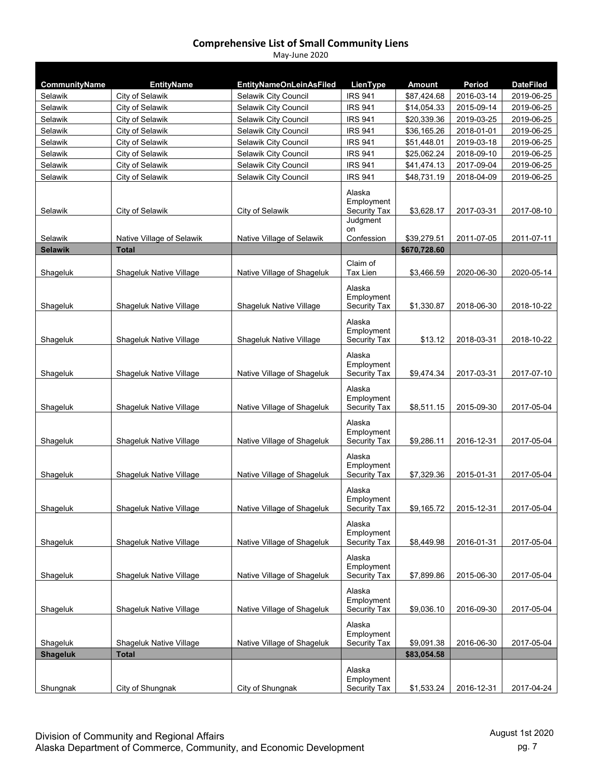| CommunityName   | <b>EntityName</b>         | <b>EntityNameOnLeinAsFiled</b> | LienType                                    | <b>Amount</b> | Period     | <b>DateFiled</b> |
|-----------------|---------------------------|--------------------------------|---------------------------------------------|---------------|------------|------------------|
| Selawik         | City of Selawik           | Selawik City Council           | <b>IRS 941</b>                              | \$87,424.68   | 2016-03-14 | 2019-06-25       |
| Selawik         | City of Selawik           | Selawik City Council           | <b>IRS 941</b>                              | \$14,054.33   | 2015-09-14 | 2019-06-25       |
| Selawik         | City of Selawik           | Selawik City Council           | <b>IRS 941</b>                              | \$20,339.36   | 2019-03-25 | 2019-06-25       |
| Selawik         | City of Selawik           | Selawik City Council           | <b>IRS 941</b>                              | \$36,165.26   | 2018-01-01 | 2019-06-25       |
| Selawik         | City of Selawik           | Selawik City Council           | <b>IRS 941</b>                              | \$51,448.01   | 2019-03-18 | 2019-06-25       |
| Selawik         | City of Selawik           | Selawik City Council           | <b>IRS 941</b>                              | \$25,062.24   | 2018-09-10 | 2019-06-25       |
| Selawik         | City of Selawik           | Selawik City Council           | <b>IRS 941</b>                              | \$41,474.13   | 2017-09-04 | 2019-06-25       |
| Selawik         | City of Selawik           | Selawik City Council           | <b>IRS 941</b>                              | \$48,731.19   | 2018-04-09 | 2019-06-25       |
| Selawik         | City of Selawik           | City of Selawik                | Alaska<br>Employment<br><b>Security Tax</b> | \$3,628.17    | 2017-03-31 | 2017-08-10       |
|                 |                           |                                | Judgment                                    |               |            |                  |
| Selawik         | Native Village of Selawik | Native Village of Selawik      | on<br>Confession                            | \$39,279.51   | 2011-07-05 | 2011-07-11       |
| <b>Selawik</b>  | <b>Total</b>              |                                |                                             | \$670,728.60  |            |                  |
|                 |                           |                                | Claim of                                    |               |            |                  |
| Shageluk        | Shageluk Native Village   | Native Village of Shageluk     | <b>Tax Lien</b>                             | \$3,466.59    | 2020-06-30 | 2020-05-14       |
|                 |                           |                                | Alaska<br>Employment                        |               |            |                  |
| Shageluk        | Shageluk Native Village   | Shageluk Native Village        | Security Tax                                | \$1,330.87    | 2018-06-30 | 2018-10-22       |
| Shageluk        | Shageluk Native Village   | Shageluk Native Village        | Alaska<br>Employment<br>Security Tax        | \$13.12       | 2018-03-31 | 2018-10-22       |
| Shageluk        | Shageluk Native Village   | Native Village of Shageluk     | Alaska<br>Employment<br>Security Tax        | \$9,474.34    | 2017-03-31 | 2017-07-10       |
| Shageluk        | Shageluk Native Village   | Native Village of Shageluk     | Alaska<br>Employment<br><b>Security Tax</b> | \$8,511.15    | 2015-09-30 | 2017-05-04       |
| Shageluk        | Shageluk Native Village   | Native Village of Shageluk     | Alaska<br>Employment<br>Security Tax        | \$9,286.11    | 2016-12-31 | 2017-05-04       |
| Shageluk        | Shageluk Native Village   | Native Village of Shageluk     | Alaska<br>Employment<br><b>Security Tax</b> | \$7,329.36    | 2015-01-31 | 2017-05-04       |
| Shageluk        | Shageluk Native Village   | Native Village of Shageluk     | Alaska<br>Employment<br>Security Tax        | \$9,165.72    | 2015-12-31 | 2017-05-04       |
| Shageluk        | Shageluk Native Village   | Native Village of Shageluk     | Alaska<br>Employment<br>Security Tax        | \$8,449.98    | 2016-01-31 | 2017-05-04       |
|                 |                           |                                |                                             |               |            |                  |
| Shageluk        | Shaqeluk Native Village   | Native Village of Shageluk     | Alaska<br>Employment<br>Security Tax        | \$7,899.86    | 2015-06-30 | 2017-05-04       |
| Shageluk        | Shageluk Native Village   | Native Village of Shageluk     | Alaska<br>Employment<br>Security Tax        | \$9,036.10    | 2016-09-30 | 2017-05-04       |
|                 |                           |                                |                                             |               |            |                  |
| Shageluk        | Shageluk Native Village   | Native Village of Shageluk     | Alaska<br>Employment<br>Security Tax        | \$9,091.38    | 2016-06-30 | 2017-05-04       |
| <b>Shageluk</b> | <b>Total</b>              |                                |                                             | \$83,054.58   |            |                  |
| Shungnak        | City of Shungnak          | City of Shungnak               | Alaska<br>Employment<br>Security Tax        | \$1,533.24    | 2016-12-31 | 2017-04-24       |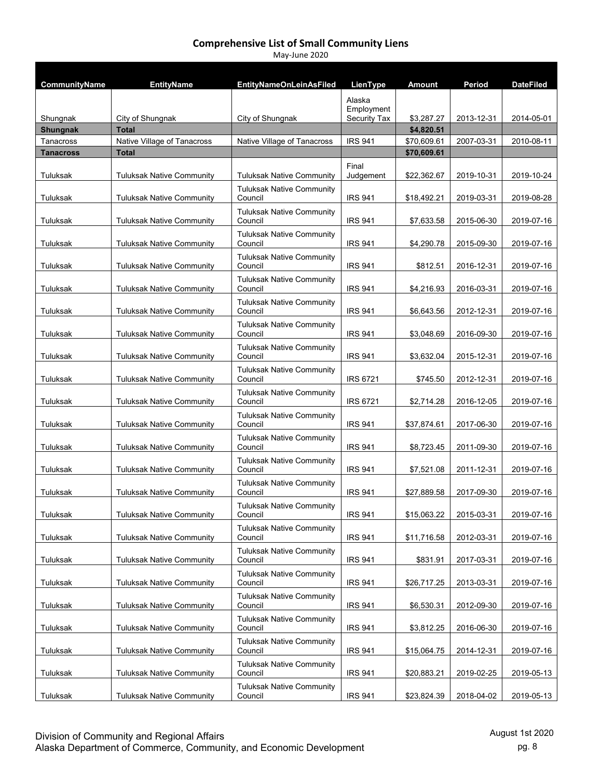| CommunityName    | <b>EntityName</b>                | <b>EntityNameOnLeinAsFiled</b>              | LienType                             | <b>Amount</b> | Period     | <b>DateFiled</b> |
|------------------|----------------------------------|---------------------------------------------|--------------------------------------|---------------|------------|------------------|
| Shungnak         | City of Shungnak                 | City of Shungnak                            | Alaska<br>Employment<br>Security Tax | \$3,287.27    | 2013-12-31 | 2014-05-01       |
| <b>Shungnak</b>  | <b>Total</b>                     |                                             |                                      | \$4,820.51    |            |                  |
| Tanacross        | Native Village of Tanacross      | Native Village of Tanacross                 | <b>IRS 941</b>                       | \$70,609.61   | 2007-03-31 | 2010-08-11       |
| <b>Tanacross</b> | <b>Total</b>                     |                                             |                                      | \$70,609.61   |            |                  |
| Tuluksak         | <b>Tuluksak Native Community</b> | <b>Tuluksak Native Community</b>            | Final<br>Judgement                   | \$22,362.67   | 2019-10-31 | 2019-10-24       |
|                  |                                  | <b>Tuluksak Native Community</b>            |                                      |               |            |                  |
| Tuluksak         | <b>Tuluksak Native Community</b> | Council                                     | <b>IRS 941</b>                       | \$18,492.21   | 2019-03-31 | 2019-08-28       |
| Tuluksak         | <b>Tuluksak Native Community</b> | <b>Tuluksak Native Community</b><br>Council | <b>IRS 941</b>                       | \$7,633.58    | 2015-06-30 | 2019-07-16       |
| Tuluksak         | <b>Tuluksak Native Community</b> | <b>Tuluksak Native Community</b><br>Council | <b>IRS 941</b>                       | \$4,290.78    | 2015-09-30 | 2019-07-16       |
| Tuluksak         | <b>Tuluksak Native Community</b> | <b>Tuluksak Native Community</b><br>Council | <b>IRS 941</b>                       | \$812.51      | 2016-12-31 | 2019-07-16       |
| Tuluksak         | <b>Tuluksak Native Community</b> | <b>Tuluksak Native Community</b><br>Council | <b>IRS 941</b>                       | \$4,216.93    | 2016-03-31 | 2019-07-16       |
| Tuluksak         | <b>Tuluksak Native Community</b> | <b>Tuluksak Native Community</b><br>Council | <b>IRS 941</b>                       | \$6,643.56    | 2012-12-31 | 2019-07-16       |
| Tuluksak         | <b>Tuluksak Native Community</b> | <b>Tuluksak Native Community</b><br>Council | <b>IRS 941</b>                       | \$3,048.69    | 2016-09-30 | 2019-07-16       |
| Tuluksak         | <b>Tuluksak Native Community</b> | <b>Tuluksak Native Community</b><br>Council | <b>IRS 941</b>                       | \$3,632.04    | 2015-12-31 | 2019-07-16       |
| Tuluksak         | <b>Tuluksak Native Community</b> | <b>Tuluksak Native Community</b><br>Council | <b>IRS 6721</b>                      | \$745.50      | 2012-12-31 | 2019-07-16       |
| Tuluksak         | <b>Tuluksak Native Community</b> | <b>Tuluksak Native Community</b><br>Council | <b>IRS 6721</b>                      | \$2,714.28    | 2016-12-05 | 2019-07-16       |
| Tuluksak         | <b>Tuluksak Native Community</b> | <b>Tuluksak Native Community</b><br>Council | <b>IRS 941</b>                       | \$37,874.61   | 2017-06-30 | 2019-07-16       |
| Tuluksak         | <b>Tuluksak Native Community</b> | <b>Tuluksak Native Community</b><br>Council | <b>IRS 941</b>                       | \$8,723.45    | 2011-09-30 | 2019-07-16       |
| Tuluksak         | <b>Tuluksak Native Community</b> | <b>Tuluksak Native Community</b><br>Council | <b>IRS 941</b>                       | \$7,521.08    | 2011-12-31 | 2019-07-16       |
| Tuluksak         | <b>Tuluksak Native Community</b> | <b>Tuluksak Native Community</b><br>Council | <b>IRS 941</b>                       | \$27,889.58   | 2017-09-30 | 2019-07-16       |
| Tuluksak         | <b>Tuluksak Native Community</b> | <b>Tuluksak Native Community</b><br>Council | <b>IRS 941</b>                       | \$15,063.22   | 2015-03-31 | 2019-07-16       |
| Tuluksak         | <b>Tuluksak Native Community</b> | <b>Tuluksak Native Community</b><br>Council | <b>IRS 941</b>                       | \$11,716.58   | 2012-03-31 | 2019-07-16       |
| Tuluksak         | <b>Tuluksak Native Community</b> | <b>Tuluksak Native Community</b><br>Council | <b>IRS 941</b>                       | \$831.91      | 2017-03-31 | 2019-07-16       |
| Tuluksak         | <b>Tuluksak Native Community</b> | <b>Tuluksak Native Community</b><br>Council | <b>IRS 941</b>                       | \$26,717.25   | 2013-03-31 | 2019-07-16       |
| Tuluksak         | <b>Tuluksak Native Community</b> | <b>Tuluksak Native Community</b><br>Council | <b>IRS 941</b>                       | \$6,530.31    | 2012-09-30 | 2019-07-16       |
| Tuluksak         | <b>Tuluksak Native Community</b> | <b>Tuluksak Native Community</b><br>Council | <b>IRS 941</b>                       | \$3,812.25    | 2016-06-30 | 2019-07-16       |
| Tuluksak         | <b>Tuluksak Native Community</b> | <b>Tuluksak Native Community</b><br>Council | IRS 941                              | \$15,064.75   | 2014-12-31 | 2019-07-16       |
| Tuluksak         | <b>Tuluksak Native Community</b> | <b>Tuluksak Native Community</b><br>Council | <b>IRS 941</b>                       | \$20,883.21   | 2019-02-25 | 2019-05-13       |
| Tuluksak         | <b>Tuluksak Native Community</b> | <b>Tuluksak Native Community</b><br>Council | <b>IRS 941</b>                       | \$23,824.39   | 2018-04-02 | 2019-05-13       |